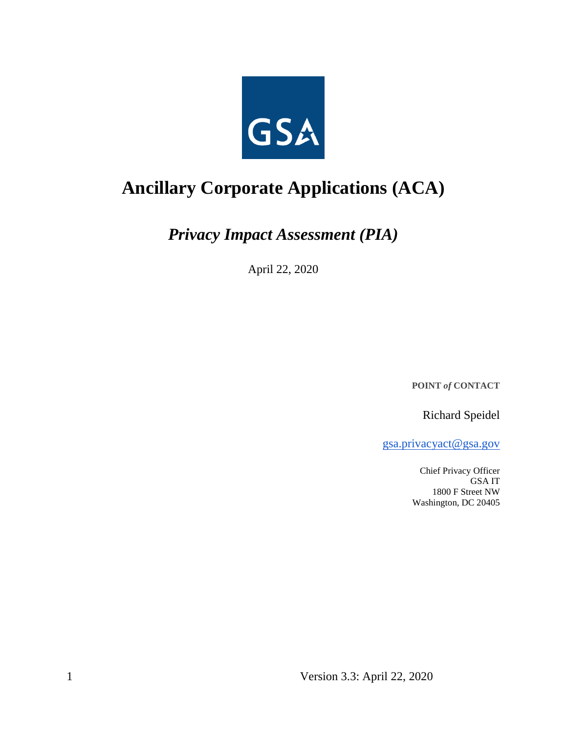

# **Ancillary Corporate Applications (ACA)**

*Privacy Impact Assessment (PIA)*

April 22, 2020

**POINT** *of* **CONTACT**

Richard Speidel

[gsa.privacyact@gsa.gov](mailto:gsa.privacyact@gsa.gov)

Chief Privacy Officer GSA IT 1800 F Street NW Washington, DC 20405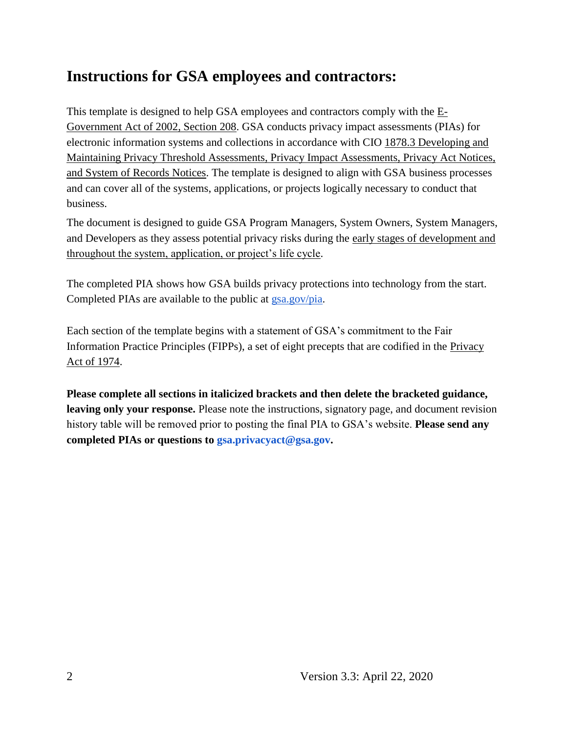## **Instructions for GSA employees and contractors:**

This t[e](https://www.justice.gov/opcl/e-government-act-2002)mplate is designed to help GSA employees and contractors comply with the  $E$ -[Government Act of 2002, Section 208.](https://www.justice.gov/opcl/e-government-act-2002) GSA conducts privacy impact assessments (PIAs) for electronic information systems and collections in accordance with [CIO 1878.3 Developing and](https://insite.gsa.gov/directives-library/developing-and-maintaining-privacy-threshold-assessments-privacy-impact-assessments-privacy-act-notices-and-system-of-records-notices-18783-cio)  [Maintaining Privacy Threshold Assessments, Privacy Impact Assessments, Privacy Act Notices,](https://insite.gsa.gov/directives-library/developing-and-maintaining-privacy-threshold-assessments-privacy-impact-assessments-privacy-act-notices-and-system-of-records-notices-18783-cio)  [and System of Records Notices.](https://insite.gsa.gov/directives-library/developing-and-maintaining-privacy-threshold-assessments-privacy-impact-assessments-privacy-act-notices-and-system-of-records-notices-18783-cio) The template is designed to align with GSA business processes and can cover all of the systems, applications, or projects logically necessary to conduct that business.

The document is designed to guide GSA Program Managers, System Owners, System Managers, and Developers as they assess potential privacy risks during th[e](https://insite.gsa.gov/cdnstatic/insite/Managing_Enterprise_Risk_%5BCIO_IT_Security_06-30_Rev_14%5D_02-01-2019.pdf) [early stages of development and](https://insite.gsa.gov/cdnstatic/insite/Managing_Enterprise_Risk_%5BCIO_IT_Security_06-30_Rev_14%5D_02-01-2019.pdf)  [throughout the system, application, or project's life cycle.](https://insite.gsa.gov/cdnstatic/insite/Managing_Enterprise_Risk_%5BCIO_IT_Security_06-30_Rev_14%5D_02-01-2019.pdf)

The completed PIA shows how GSA builds privacy protections into technology from the start. Completed PIAs are available to the public at [gsa.gov/pia.](https://www.gsa.gov/reference/gsa-privacy-program/privacy-impact-assessments-pia)

Each section of the template begins with a statement of GSA's commitment to the Fair Information Practice Principles (FIPPs), a set of eight precepts that are codified in the [Privacy](https://www.justice.gov/opcl/policy-objectives)  [Act of 1974.](https://www.justice.gov/opcl/policy-objectives)

**Please complete all sections in italicized brackets and then delete the bracketed guidance, leaving only your response.** Please note the instructions, signatory page, and document revision history table will be removed prior to posting the final PIA to GSA's website. **Please send any completed PIAs or questions to gsa.privacyact@gsa.gov.**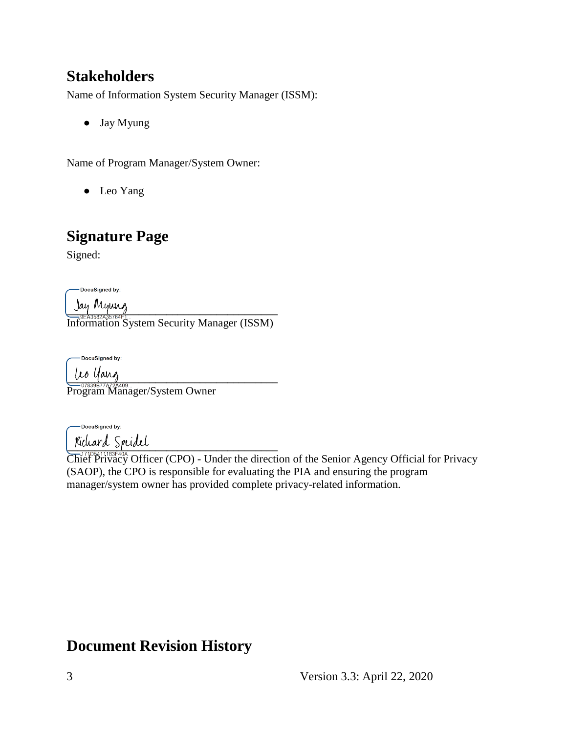## **Stakeholders**

Name of Information System Security Manager (ISSM):

● Jay Myung

Name of Program Manager/System Owner:

● Leo Yang

## **Signature Page**

Signed:

-DocuSigned by:

**\_\_\_\_\_\_\_\_\_\_\_\_\_\_\_\_\_\_\_\_\_\_\_\_\_\_\_\_\_\_\_\_\_\_\_\_\_\_** Information System Security Manager (ISSM)

-DocuSigned by:

 $\mu$ o yang

Program Manager/System Owner

-DocuSigned by: **\_\_\_\_\_\_\_\_\_\_\_\_\_\_\_\_\_\_\_\_\_\_\_\_\_\_\_\_\_\_\_\_\_\_\_\_\_\_**

Chief Privacy Officer (CPO) - Under the direction of the Senior Agency Official for Privacy (SAOP), the CPO is responsible for evaluating the PIA and ensuring the program manager/system owner has provided complete privacy-related information.

## **Document Revision History**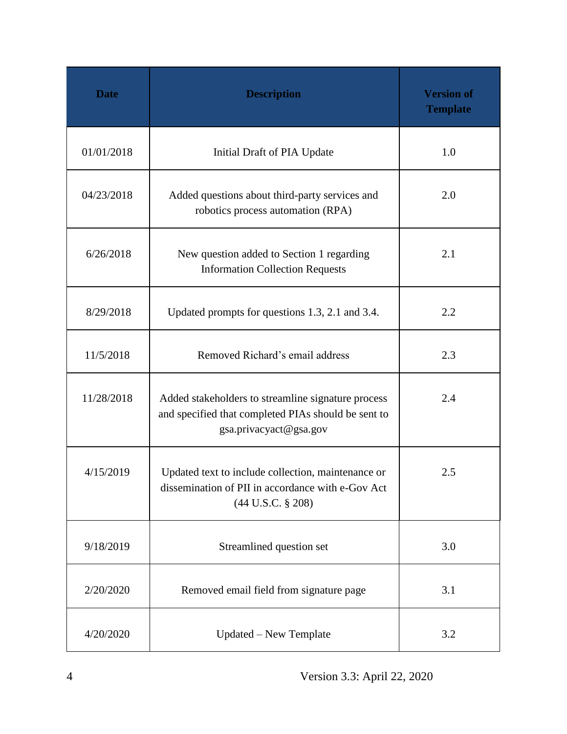| <b>Date</b> | <b>Description</b>                                                                                                                  | <b>Version of</b><br><b>Template</b> |
|-------------|-------------------------------------------------------------------------------------------------------------------------------------|--------------------------------------|
| 01/01/2018  | Initial Draft of PIA Update                                                                                                         | 1.0                                  |
| 04/23/2018  | Added questions about third-party services and<br>robotics process automation (RPA)                                                 | 2.0                                  |
| 6/26/2018   | New question added to Section 1 regarding<br><b>Information Collection Requests</b>                                                 | 2.1                                  |
| 8/29/2018   | Updated prompts for questions 1.3, 2.1 and 3.4.                                                                                     | 2.2                                  |
| 11/5/2018   | Removed Richard's email address                                                                                                     | 2.3                                  |
| 11/28/2018  | Added stakeholders to streamline signature process<br>and specified that completed PIAs should be sent to<br>gsa.privacyact@gsa.gov | 2.4                                  |
| 4/15/2019   | Updated text to include collection, maintenance or<br>dissemination of PII in accordance with e-Gov Act<br>$(44$ U.S.C. § 208)      | 2.5                                  |
| 9/18/2019   | Streamlined question set                                                                                                            | 3.0                                  |
| 2/20/2020   | Removed email field from signature page                                                                                             | 3.1                                  |
| 4/20/2020   | Updated – New Template                                                                                                              | 3.2                                  |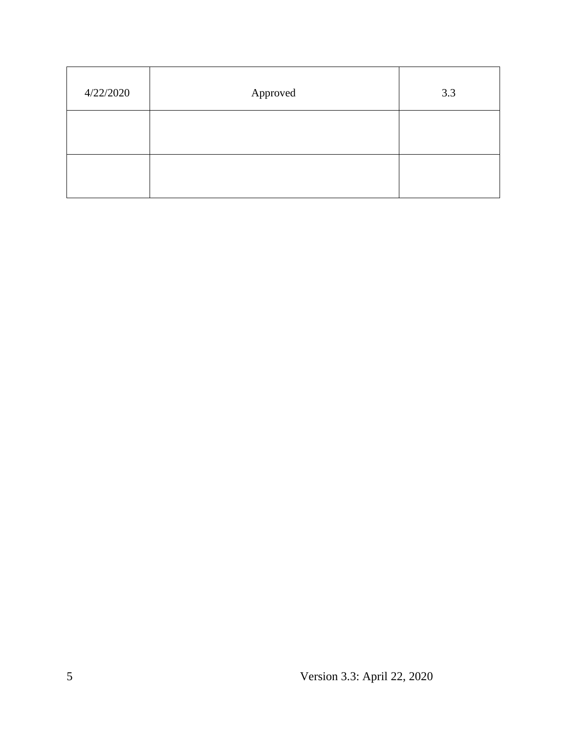| 4/22/2020 | Approved | 3.3 |
|-----------|----------|-----|
|           |          |     |
|           |          |     |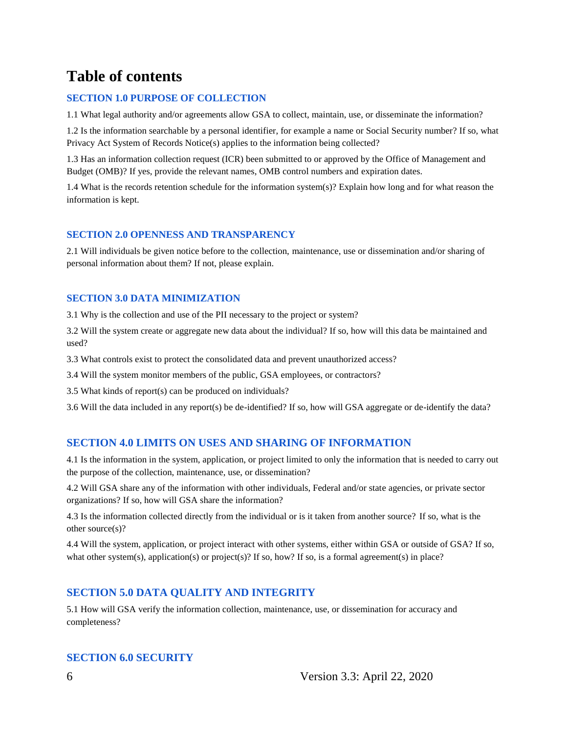## **Table of contents**

#### **SECTION 1.0 PURPOSE OF COLLECTION**

1.1 What legal authority and/or agreements allow GSA to collect, maintain, use, or disseminate the information?

1.2 Is the information searchable by a personal identifier, for example a name or Social Security number? If so, what Privacy Act System of Records Notice(s) applies to the information being collected?

1.3 Has an information collection request (ICR) been submitted to or approved by the Office of Management and Budget (OMB)? If yes, provide the relevant names, OMB control numbers and expiration dates.

1.4 What is the records retention schedule for the information system(s)? Explain how long and for what reason the information is kept.

#### **SECTION 2.0 OPENNESS AND TRANSPARENCY**

2.1 Will individuals be given notice before to the collection, maintenance, use or dissemination and/or sharing of personal information about them? If not, please explain.

#### **SECTION 3.0 DATA MINIMIZATION**

3.1 Why is the collection and use of the PII necessary to the project or system?

3.2 Will the system create or aggregate new data about the individual? If so, how will this data be maintained and used?

3.3 What controls exist to protect the consolidated data and prevent unauthorized access?

3.4 Will the system monitor members of the public, GSA employees, or contractors?

3.5 What kinds of report(s) can be produced on individuals?

3.6 Will the data included in any report(s) be de-identified? If so, how will GSA aggregate or de-identify the data?

#### **SECTION 4.0 LIMITS ON USES AND SHARING OF INFORMATION**

4.1 Is the information in the system, application, or project limited to only the information that is needed to carry out the purpose of the collection, maintenance, use, or dissemination?

4.2 Will GSA share any of the information with other individuals, Federal and/or state agencies, or private sector organizations? If so, how will GSA share the information?

4.3 Is the information collected directly from the individual or is it taken from another source? If so, what is the other source(s)?

4.4 Will the system, application, or project interact with other systems, either within GSA or outside of GSA? If so, what other system(s), application(s) or project(s)? If so, how? If so, is a formal agreement(s) in place?

#### **SECTION 5.0 DATA QUALITY AND INTEGRITY**

5.1 How will GSA verify the information collection, maintenance, use, or dissemination for accuracy and completeness?

#### **SECTION 6.0 SECURITY**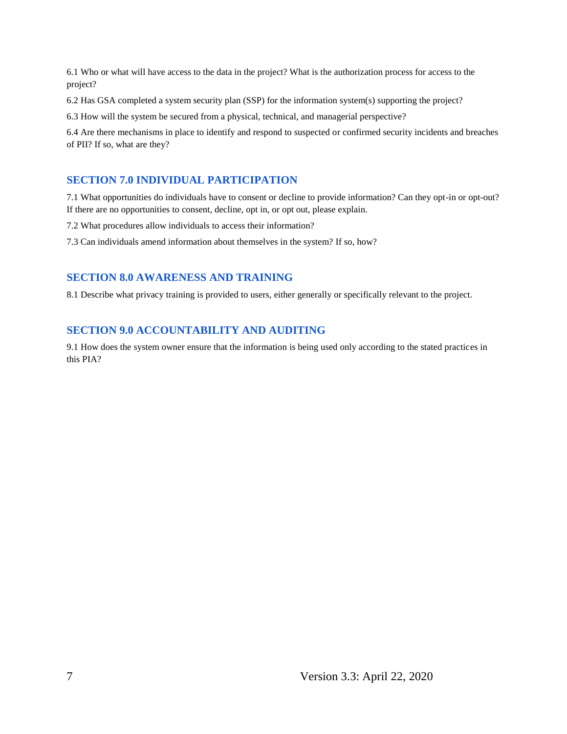6.1 Who or what will have access to the data in the project? What is the authorization process for access to the project?

6.2 Has GSA completed a system security plan (SSP) for the information system(s) supporting the project?

6.3 How will the system be secured from a physical, technical, and managerial perspective?

6.4 Are there mechanisms in place to identify and respond to suspected or confirmed security incidents and breaches of PII? If so, what are they?

#### **SECTION 7.0 INDIVIDUAL PARTICIPATION**

7.1 What opportunities do individuals have to consent or decline to provide information? Can they opt-in or opt-out? If there are no opportunities to consent, decline, opt in, or opt out, please explain.

7.2 What procedures allow individuals to access their information?

7.3 Can individuals amend information about themselves in the system? If so, how?

#### **SECTION 8.0 AWARENESS AND TRAINING**

8.1 Describe what privacy training is provided to users, either generally or specifically relevant to the project.

#### **SECTION 9.0 ACCOUNTABILITY AND AUDITING**

9.1 How does the system owner ensure that the information is being used only according to the stated practices in this PIA?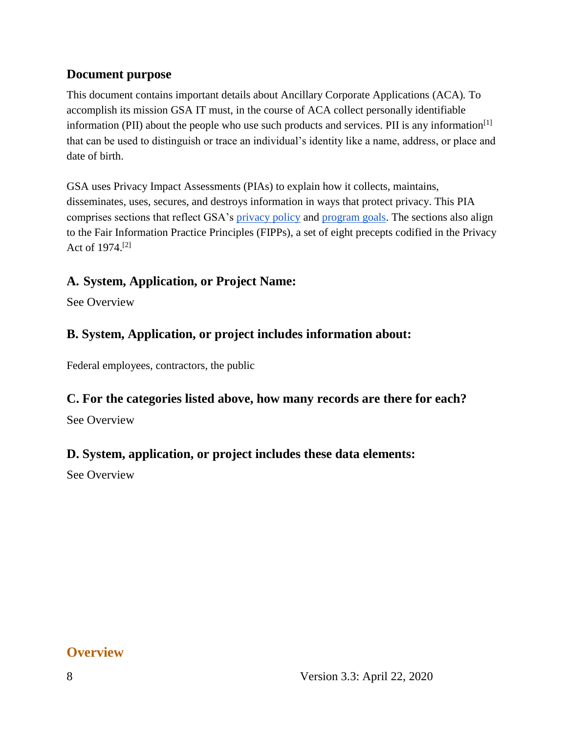#### **Document purpose**

This document contains important details about Ancillary Corporate Applications (ACA)*.* To accomplish its mission GSA IT must, in the course of ACA collect personally identifiable information (PII) about the people who use such products and services. PII is any information $\left[1\right]$ that can be used to distinguish or trace an individual's identity like a name, address, or place and date of birth.

GSA uses Privacy Impact Assessments (PIAs) to explain how it collects, maintains, disseminates, uses, secures, and destroys information in ways that protect privacy. This PIA comprises sections that reflect GSA's [privacy policy](https://www.gsa.gov/website-information/privacy-and-security-notice) and [program goals.](https://www.gsa.gov/portal/category/21419) The sections also align to the Fair Information Practice Principles (FIPPs), a set of eight precepts codified in the Privacy Act of 1974.[2]

#### **A. System, Application, or Project Name:**

See Overview

#### **B. System, Application, or project includes information about:**

Federal employees, contractors, the public

#### **C. For the categories listed above, how many records are there for each?**

See Overview

#### **D. System, application, or project includes these data elements:**

See Overview

### **Overview**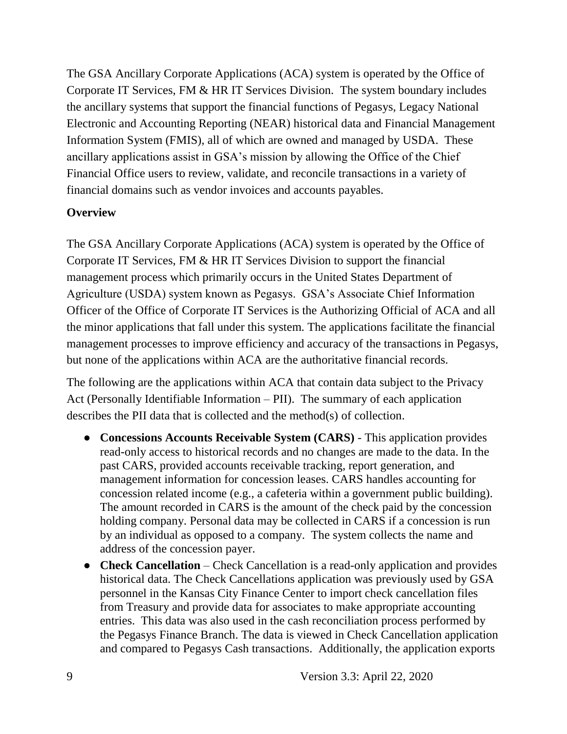The GSA Ancillary Corporate Applications (ACA) system is operated by the Office of Corporate IT Services, FM & HR IT Services Division. The system boundary includes the ancillary systems that support the financial functions of Pegasys, Legacy National Electronic and Accounting Reporting (NEAR) historical data and Financial Management Information System (FMIS), all of which are owned and managed by USDA. These ancillary applications assist in GSA's mission by allowing the Office of the Chief Financial Office users to review, validate, and reconcile transactions in a variety of financial domains such as vendor invoices and accounts payables.

#### **Overview**

The GSA Ancillary Corporate Applications (ACA) system is operated by the Office of Corporate IT Services, FM & HR IT Services Division to support the financial management process which primarily occurs in the United States Department of Agriculture (USDA) system known as Pegasys. GSA's Associate Chief Information Officer of the Office of Corporate IT Services is the Authorizing Official of ACA and all the minor applications that fall under this system. The applications facilitate the financial management processes to improve efficiency and accuracy of the transactions in Pegasys, but none of the applications within ACA are the authoritative financial records.

The following are the applications within ACA that contain data subject to the Privacy Act (Personally Identifiable Information – PII). The summary of each application describes the PII data that is collected and the method(s) of collection.

- **Concessions Accounts Receivable System (CARS)** This application provides read-only access to historical records and no changes are made to the data. In the past CARS, provided accounts receivable tracking, report generation, and management information for concession leases. CARS handles accounting for concession related income (e.g., a cafeteria within a government public building). The amount recorded in CARS is the amount of the check paid by the concession holding company. Personal data may be collected in CARS if a concession is run by an individual as opposed to a company. The system collects the name and address of the concession payer.
- **Check Cancellation** Check Cancellation is a read-only application and provides historical data. The Check Cancellations application was previously used by GSA personnel in the Kansas City Finance Center to import check cancellation files from Treasury and provide data for associates to make appropriate accounting entries. This data was also used in the cash reconciliation process performed by the Pegasys Finance Branch. The data is viewed in Check Cancellation application and compared to Pegasys Cash transactions. Additionally, the application exports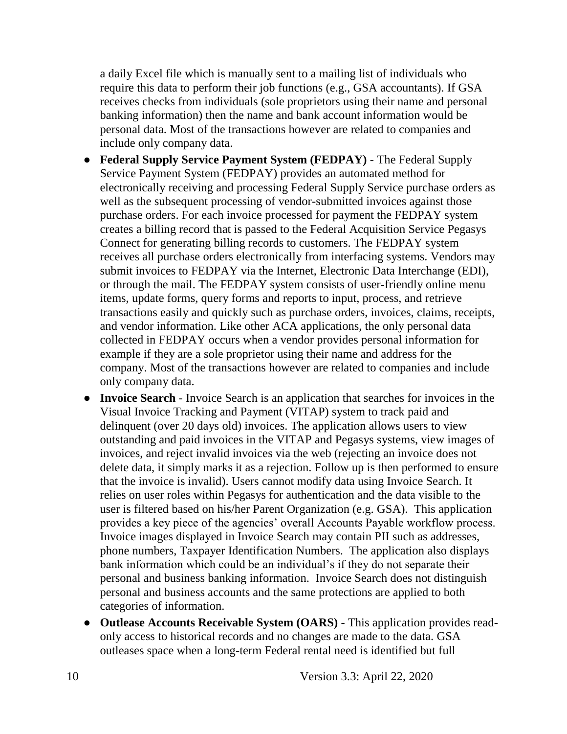a daily Excel file which is manually sent to a mailing list of individuals who require this data to perform their job functions (e.g., GSA accountants). If GSA receives checks from individuals (sole proprietors using their name and personal banking information) then the name and bank account information would be personal data. Most of the transactions however are related to companies and include only company data.

- **Federal Supply Service Payment System (FEDPAY)** The Federal Supply Service Payment System (FEDPAY) provides an automated method for electronically receiving and processing Federal Supply Service purchase orders as well as the subsequent processing of vendor-submitted invoices against those purchase orders. For each invoice processed for payment the FEDPAY system creates a billing record that is passed to the Federal Acquisition Service Pegasys Connect for generating billing records to customers. The FEDPAY system receives all purchase orders electronically from interfacing systems. Vendors may submit invoices to FEDPAY via the Internet, Electronic Data Interchange (EDI), or through the mail. The FEDPAY system consists of user-friendly online menu items, update forms, query forms and reports to input, process, and retrieve transactions easily and quickly such as purchase orders, invoices, claims, receipts, and vendor information. Like other ACA applications, the only personal data collected in FEDPAY occurs when a vendor provides personal information for example if they are a sole proprietor using their name and address for the company. Most of the transactions however are related to companies and include only company data.
- **Invoice Search** Invoice Search is an application that searches for invoices in the Visual Invoice Tracking and Payment (VITAP) system to track paid and delinquent (over 20 days old) invoices. The application allows users to view outstanding and paid invoices in the VITAP and Pegasys systems, view images of invoices, and reject invalid invoices via the web (rejecting an invoice does not delete data, it simply marks it as a rejection. Follow up is then performed to ensure that the invoice is invalid). Users cannot modify data using Invoice Search. It relies on user roles within Pegasys for authentication and the data visible to the user is filtered based on his/her Parent Organization (e.g. GSA). This application provides a key piece of the agencies' overall Accounts Payable workflow process. Invoice images displayed in Invoice Search may contain PII such as addresses, phone numbers, Taxpayer Identification Numbers. The application also displays bank information which could be an individual's if they do not separate their personal and business banking information. Invoice Search does not distinguish personal and business accounts and the same protections are applied to both categories of information.
- **Outlease Accounts Receivable System (OARS)** This application provides readonly access to historical records and no changes are made to the data. GSA outleases space when a long-term Federal rental need is identified but full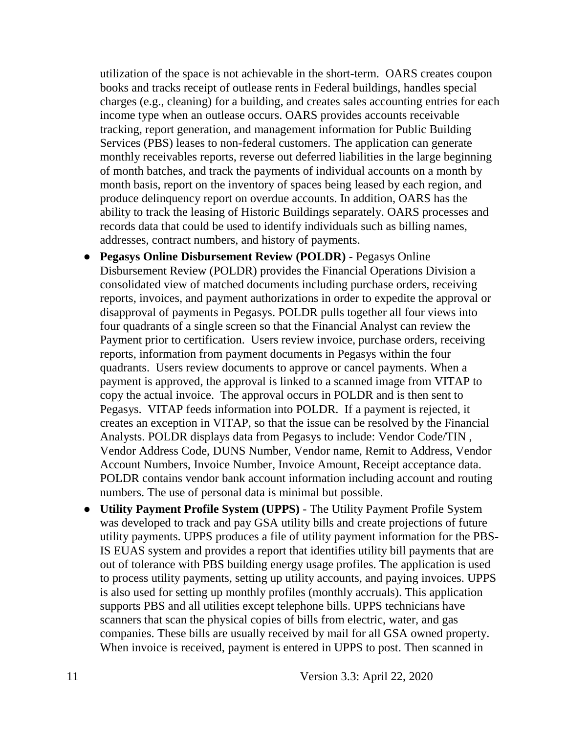utilization of the space is not achievable in the short-term. OARS creates coupon books and tracks receipt of outlease rents in Federal buildings, handles special charges (e.g., cleaning) for a building, and creates sales accounting entries for each income type when an outlease occurs. OARS provides accounts receivable tracking, report generation, and management information for Public Building Services (PBS) leases to non-federal customers. The application can generate monthly receivables reports, reverse out deferred liabilities in the large beginning of month batches, and track the payments of individual accounts on a month by month basis, report on the inventory of spaces being leased by each region, and produce delinquency report on overdue accounts. In addition, OARS has the ability to track the leasing of Historic Buildings separately. OARS processes and records data that could be used to identify individuals such as billing names, addresses, contract numbers, and history of payments.

- **Pegasys Online Disbursement Review (POLDR)** Pegasys Online Disbursement Review (POLDR) provides the Financial Operations Division a consolidated view of matched documents including purchase orders, receiving reports, invoices, and payment authorizations in order to expedite the approval or disapproval of payments in Pegasys. POLDR pulls together all four views into four quadrants of a single screen so that the Financial Analyst can review the Payment prior to certification. Users review invoice, purchase orders, receiving reports, information from payment documents in Pegasys within the four quadrants. Users review documents to approve or cancel payments. When a payment is approved, the approval is linked to a scanned image from VITAP to copy the actual invoice. The approval occurs in POLDR and is then sent to Pegasys. VITAP feeds information into POLDR. If a payment is rejected, it creates an exception in VITAP, so that the issue can be resolved by the Financial Analysts. POLDR displays data from Pegasys to include: Vendor Code/TIN , Vendor Address Code, DUNS Number, Vendor name, Remit to Address, Vendor Account Numbers, Invoice Number, Invoice Amount, Receipt acceptance data. POLDR contains vendor bank account information including account and routing numbers. The use of personal data is minimal but possible.
- **Utility Payment Profile System (UPPS)** The Utility Payment Profile System was developed to track and pay GSA utility bills and create projections of future utility payments. UPPS produces a file of utility payment information for the PBS-IS EUAS system and provides a report that identifies utility bill payments that are out of tolerance with PBS building energy usage profiles. The application is used to process utility payments, setting up utility accounts, and paying invoices. UPPS is also used for setting up monthly profiles (monthly accruals). This application supports PBS and all utilities except telephone bills. UPPS technicians have scanners that scan the physical copies of bills from electric, water, and gas companies. These bills are usually received by mail for all GSA owned property. When invoice is received, payment is entered in UPPS to post. Then scanned in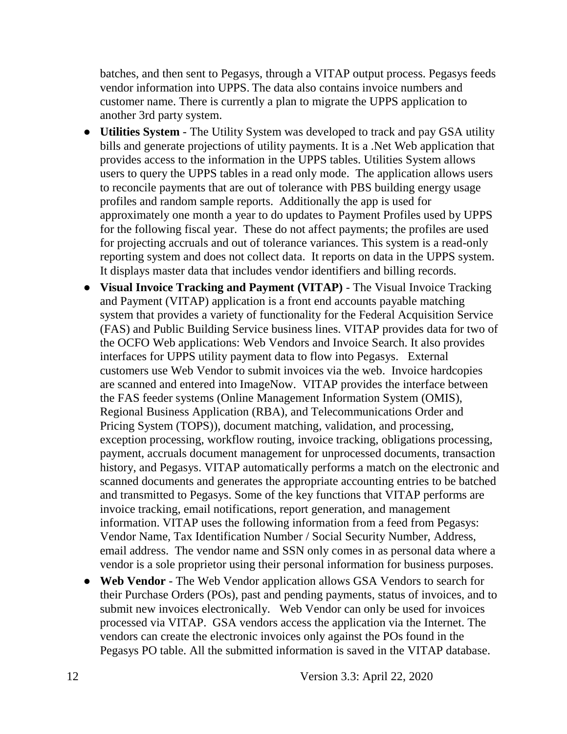batches, and then sent to Pegasys, through a VITAP output process. Pegasys feeds vendor information into UPPS. The data also contains invoice numbers and customer name. There is currently a plan to migrate the UPPS application to another 3rd party system.

- **Utilities System** The Utility System was developed to track and pay GSA utility bills and generate projections of utility payments. It is a .Net Web application that provides access to the information in the UPPS tables. Utilities System allows users to query the UPPS tables in a read only mode. The application allows users to reconcile payments that are out of tolerance with PBS building energy usage profiles and random sample reports. Additionally the app is used for approximately one month a year to do updates to Payment Profiles used by UPPS for the following fiscal year. These do not affect payments; the profiles are used for projecting accruals and out of tolerance variances. This system is a read-only reporting system and does not collect data. It reports on data in the UPPS system. It displays master data that includes vendor identifiers and billing records.
- **Visual Invoice Tracking and Payment (VITAP)** The Visual Invoice Tracking and Payment (VITAP) application is a front end accounts payable matching system that provides a variety of functionality for the Federal Acquisition Service (FAS) and Public Building Service business lines. VITAP provides data for two of the OCFO Web applications: Web Vendors and Invoice Search. It also provides interfaces for UPPS utility payment data to flow into Pegasys. External customers use Web Vendor to submit invoices via the web. Invoice hardcopies are scanned and entered into ImageNow. VITAP provides the interface between the FAS feeder systems (Online Management Information System (OMIS), Regional Business Application (RBA), and Telecommunications Order and Pricing System (TOPS)), document matching, validation, and processing, exception processing, workflow routing, invoice tracking, obligations processing, payment, accruals document management for unprocessed documents, transaction history, and Pegasys. VITAP automatically performs a match on the electronic and scanned documents and generates the appropriate accounting entries to be batched and transmitted to Pegasys. Some of the key functions that VITAP performs are invoice tracking, email notifications, report generation, and management information. VITAP uses the following information from a feed from Pegasys: Vendor Name, Tax Identification Number / Social Security Number, Address, email address. The vendor name and SSN only comes in as personal data where a vendor is a sole proprietor using their personal information for business purposes.
- **Web Vendor** The Web Vendor application allows GSA Vendors to search for their Purchase Orders (POs), past and pending payments, status of invoices, and to submit new invoices electronically. Web Vendor can only be used for invoices processed via VITAP. GSA vendors access the application via the Internet. The vendors can create the electronic invoices only against the POs found in the Pegasys PO table. All the submitted information is saved in the VITAP database.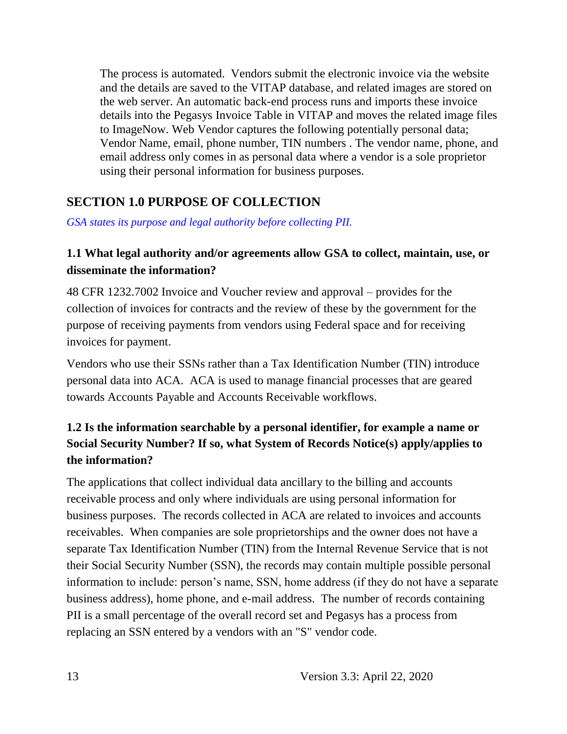The process is automated. Vendors submit the electronic invoice via the website and the details are saved to the VITAP database, and related images are stored on the web server. An automatic back-end process runs and imports these invoice details into the Pegasys Invoice Table in VITAP and moves the related image files to ImageNow. Web Vendor captures the following potentially personal data; Vendor Name, email, phone number, TIN numbers . The vendor name, phone, and email address only comes in as personal data where a vendor is a sole proprietor using their personal information for business purposes.

#### **SECTION 1.0 PURPOSE OF COLLECTION**

*GSA states its purpose and legal authority before collecting PII.*

#### **1.1 What legal authority and/or agreements allow GSA to collect, maintain, use, or disseminate the information?**

48 CFR 1232.7002 Invoice and Voucher review and approval – provides for the collection of invoices for contracts and the review of these by the government for the purpose of receiving payments from vendors using Federal space and for receiving invoices for payment.

Vendors who use their SSNs rather than a Tax Identification Number (TIN) introduce personal data into ACA. ACA is used to manage financial processes that are geared towards Accounts Payable and Accounts Receivable workflows.

### **1.2 Is the information searchable by a personal identifier, for example a name or Social Security Number? If so, what System of Records Notice(s) apply/applies to the information?**

The applications that collect individual data ancillary to the billing and accounts receivable process and only where individuals are using personal information for business purposes. The records collected in ACA are related to invoices and accounts receivables. When companies are sole proprietorships and the owner does not have a separate Tax Identification Number (TIN) from the Internal Revenue Service that is not their Social Security Number (SSN), the records may contain multiple possible personal information to include: person's name, SSN, home address (if they do not have a separate business address), home phone, and e-mail address. The number of records containing PII is a small percentage of the overall record set and Pegasys has a process from replacing an SSN entered by a vendors with an "S" vendor code.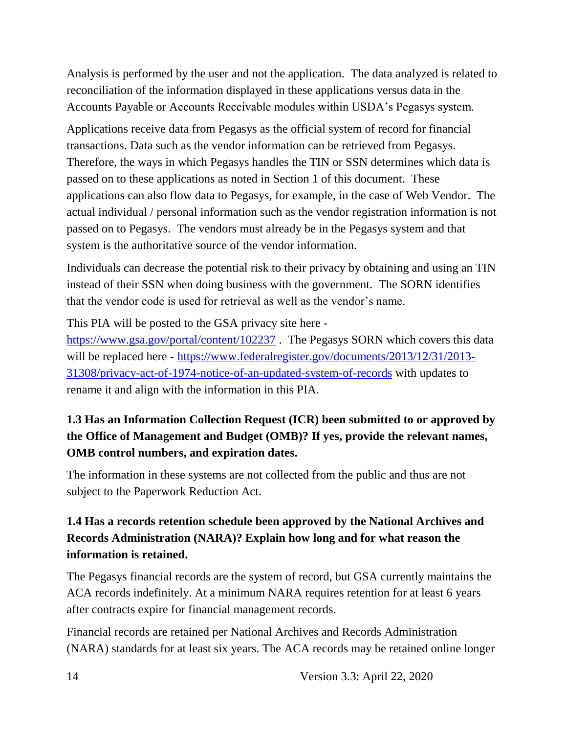Analysis is performed by the user and not the application. The data analyzed is related to reconciliation of the information displayed in these applications versus data in the Accounts Payable or Accounts Receivable modules within USDA's Pegasys system.

Applications receive data from Pegasys as the official system of record for financial transactions. Data such as the vendor information can be retrieved from Pegasys. Therefore, the ways in which Pegasys handles the TIN or SSN determines which data is passed on to these applications as noted in Section 1 of this document. These applications can also flow data to Pegasys, for example, in the case of Web Vendor. The actual individual / personal information such as the vendor registration information is not passed on to Pegasys. The vendors must already be in the Pegasys system and that system is the authoritative source of the vendor information.

Individuals can decrease the potential risk to their privacy by obtaining and using an TIN instead of their SSN when doing business with the government. The SORN identifies that the vendor code is used for retrieval as well as the vendor's name.

This PIA will be posted to the GSA privacy site here -

<https://www.gsa.gov/portal/content/102237> . The Pegasys SORN which covers this data will be replaced here - [https://www.federalregister.gov/documents/2013/12/31/2013-](https://www.federalregister.gov/documents/2013/12/31/2013-31308/privacy-act-of-1974-notice-of-an-updated-system-of-records) [31308/privacy-act-of-1974-notice-of-an-updated-system-of-records](https://www.federalregister.gov/documents/2013/12/31/2013-31308/privacy-act-of-1974-notice-of-an-updated-system-of-records) with updates to rename it and align with the information in this PIA.

### **1.3 Has an Information Collection Request (ICR) been submitted to or approved by the Office of Management and Budget (OMB)? If yes, provide the relevant names, OMB control numbers, and expiration dates.**

The information in these systems are not collected from the public and thus are not subject to the Paperwork Reduction Act.

### **1.4 Has a records retention schedule been approved by the National Archives and Records Administration (NARA)? Explain how long and for what reason the information is retained.**

The Pegasys financial records are the system of record, but GSA currently maintains the ACA records indefinitely. At a minimum NARA requires retention for at least 6 years after contracts expire for financial management records.

Financial records are retained per National Archives and Records Administration (NARA) standards for at least six years. The ACA records may be retained online longer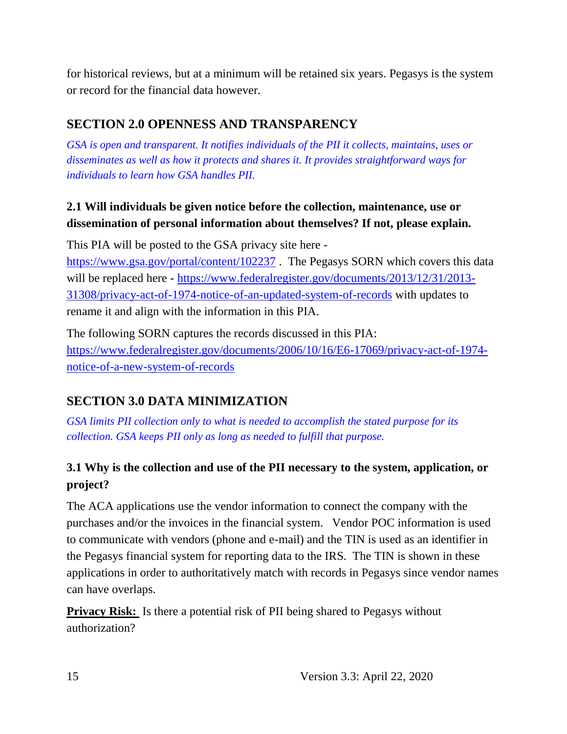for historical reviews, but at a minimum will be retained six years. Pegasys is the system or record for the financial data however.

#### **SECTION 2.0 OPENNESS AND TRANSPARENCY**

*GSA is open and transparent. It notifies individuals of the PII it collects, maintains, uses or disseminates as well as how it protects and shares it. It provides straightforward ways for individuals to learn how GSA handles PII.*

#### **2.1 Will individuals be given notice before the collection, maintenance, use or dissemination of personal information about themselves? If not, please explain.**

This PIA will be posted to the GSA privacy site here <https://www.gsa.gov/portal/content/102237> . The Pegasys SORN which covers this data will be replaced here - [https://www.federalregister.gov/documents/2013/12/31/2013-](https://www.federalregister.gov/documents/2013/12/31/2013-31308/privacy-act-of-1974-notice-of-an-updated-system-of-records) [31308/privacy-act-of-1974-notice-of-an-updated-system-of-records](https://www.federalregister.gov/documents/2013/12/31/2013-31308/privacy-act-of-1974-notice-of-an-updated-system-of-records) with updates to rename it and align with the information in this PIA.

The following SORN captures the records discussed in this PIA: [https://www.federalregister.gov/documents/2006/10/16/E6-17069/privacy-act-of-1974](https://www.federalregister.gov/documents/2006/10/16/E6-17069/privacy-act-of-1974-notice-of-a-new-system-of-records) [notice-of-a-new-system-of-records](https://www.federalregister.gov/documents/2006/10/16/E6-17069/privacy-act-of-1974-notice-of-a-new-system-of-records)

#### **SECTION 3.0 DATA MINIMIZATION**

*GSA limits PII collection only to what is needed to accomplish the stated purpose for its collection. GSA keeps PII only as long as needed to fulfill that purpose.*

#### **3.1 Why is the collection and use of the PII necessary to the system, application, or project?**

The ACA applications use the vendor information to connect the company with the purchases and/or the invoices in the financial system. Vendor POC information is used to communicate with vendors (phone and e-mail) and the TIN is used as an identifier in the Pegasys financial system for reporting data to the IRS. The TIN is shown in these applications in order to authoritatively match with records in Pegasys since vendor names can have overlaps.

**Privacy Risk:** Is there a potential risk of PII being shared to Pegasys without authorization?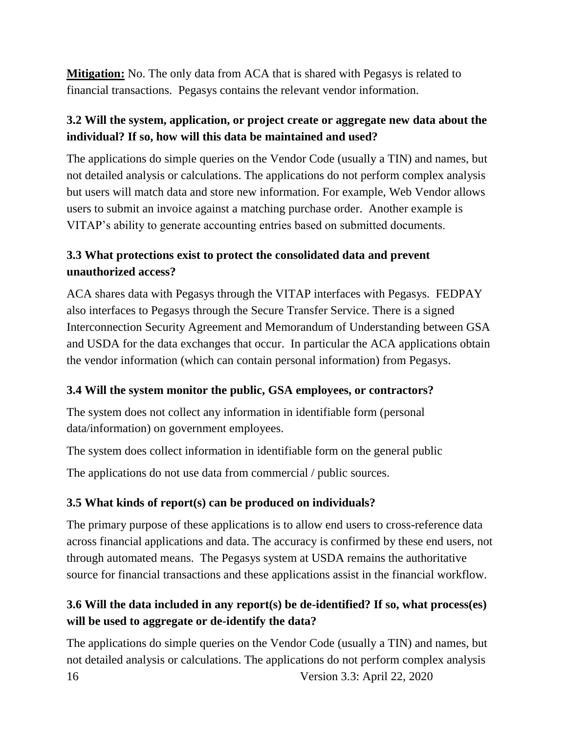**Mitigation:** No. The only data from ACA that is shared with Pegasys is related to financial transactions. Pegasys contains the relevant vendor information.

#### **3.2 Will the system, application, or project create or aggregate new data about the individual? If so, how will this data be maintained and used?**

The applications do simple queries on the Vendor Code (usually a TIN) and names, but not detailed analysis or calculations. The applications do not perform complex analysis but users will match data and store new information. For example, Web Vendor allows users to submit an invoice against a matching purchase order. Another example is VITAP's ability to generate accounting entries based on submitted documents.

#### **3.3 What protections exist to protect the consolidated data and prevent unauthorized access?**

ACA shares data with Pegasys through the VITAP interfaces with Pegasys. FEDPAY also interfaces to Pegasys through the Secure Transfer Service. There is a signed Interconnection Security Agreement and Memorandum of Understanding between GSA and USDA for the data exchanges that occur. In particular the ACA applications obtain the vendor information (which can contain personal information) from Pegasys.

#### **3.4 Will the system monitor the public, GSA employees, or contractors?**

The system does not collect any information in identifiable form (personal data/information) on government employees.

The system does collect information in identifiable form on the general public

The applications do not use data from commercial / public sources.

#### **3.5 What kinds of report(s) can be produced on individuals?**

The primary purpose of these applications is to allow end users to cross-reference data across financial applications and data. The accuracy is confirmed by these end users, not through automated means. The Pegasys system at USDA remains the authoritative source for financial transactions and these applications assist in the financial workflow.

#### **3.6 Will the data included in any report(s) be de-identified? If so, what process(es) will be used to aggregate or de-identify the data?**

16 Version 3.3: April 22, 2020 The applications do simple queries on the Vendor Code (usually a TIN) and names, but not detailed analysis or calculations. The applications do not perform complex analysis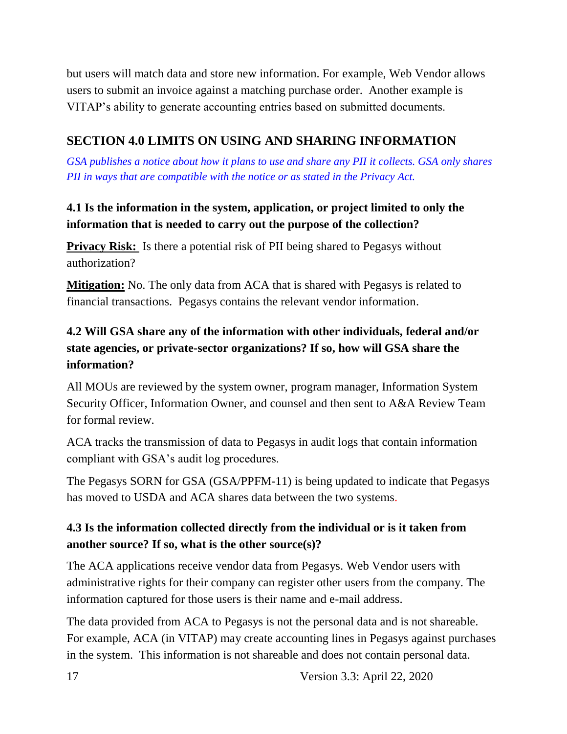but users will match data and store new information. For example, Web Vendor allows users to submit an invoice against a matching purchase order. Another example is VITAP's ability to generate accounting entries based on submitted documents.

### **SECTION 4.0 LIMITS ON USING AND SHARING INFORMATION**

*GSA publishes a notice about how it plans to use and share any PII it collects. GSA only shares PII in ways that are compatible with the notice or as stated in the Privacy Act.*

### **4.1 Is the information in the system, application, or project limited to only the information that is needed to carry out the purpose of the collection?**

**Privacy Risk:** Is there a potential risk of PII being shared to Pegasys without authorization?

**Mitigation:** No. The only data from ACA that is shared with Pegasys is related to financial transactions. Pegasys contains the relevant vendor information.

#### **4.2 Will GSA share any of the information with other individuals, federal and/or state agencies, or private-sector organizations? If so, how will GSA share the information?**

All MOUs are reviewed by the system owner, program manager, Information System Security Officer, Information Owner, and counsel and then sent to A&A Review Team for formal review.

ACA tracks the transmission of data to Pegasys in audit logs that contain information compliant with GSA's audit log procedures.

The Pegasys SORN for GSA (GSA/PPFM-11) is being updated to indicate that Pegasys has moved to USDA and ACA shares data between the two systems.

### **4.3 Is the information collected directly from the individual or is it taken from another source? If so, what is the other source(s)?**

The ACA applications receive vendor data from Pegasys. Web Vendor users with administrative rights for their company can register other users from the company. The information captured for those users is their name and e-mail address.

The data provided from ACA to Pegasys is not the personal data and is not shareable. For example, ACA (in VITAP) may create accounting lines in Pegasys against purchases in the system. This information is not shareable and does not contain personal data.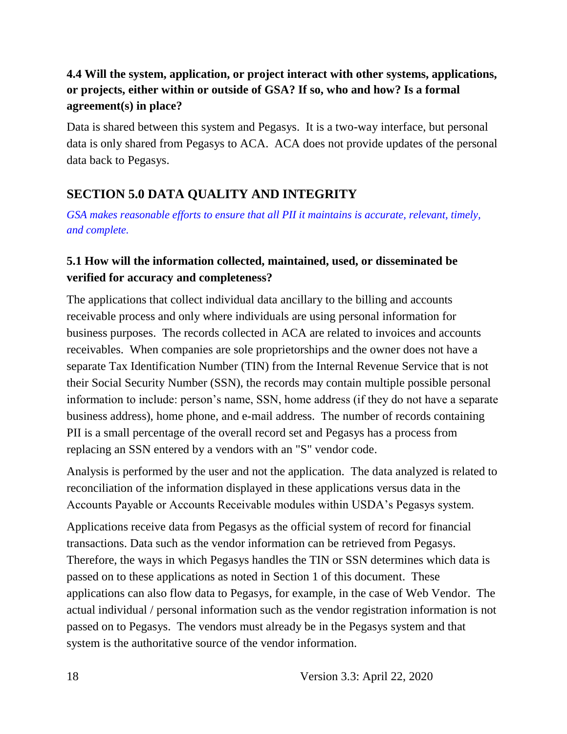#### **4.4 Will the system, application, or project interact with other systems, applications, or projects, either within or outside of GSA? If so, who and how? Is a formal agreement(s) in place?**

Data is shared between this system and Pegasys. It is a two-way interface, but personal data is only shared from Pegasys to ACA. ACA does not provide updates of the personal data back to Pegasys.

## **SECTION 5.0 DATA QUALITY AND INTEGRITY**

*GSA makes reasonable efforts to ensure that all PII it maintains is accurate, relevant, timely, and complete.*

#### **5.1 How will the information collected, maintained, used, or disseminated be verified for accuracy and completeness?**

The applications that collect individual data ancillary to the billing and accounts receivable process and only where individuals are using personal information for business purposes. The records collected in ACA are related to invoices and accounts receivables. When companies are sole proprietorships and the owner does not have a separate Tax Identification Number (TIN) from the Internal Revenue Service that is not their Social Security Number (SSN), the records may contain multiple possible personal information to include: person's name, SSN, home address (if they do not have a separate business address), home phone, and e-mail address. The number of records containing PII is a small percentage of the overall record set and Pegasys has a process from replacing an SSN entered by a vendors with an "S" vendor code.

Analysis is performed by the user and not the application. The data analyzed is related to reconciliation of the information displayed in these applications versus data in the Accounts Payable or Accounts Receivable modules within USDA's Pegasys system.

Applications receive data from Pegasys as the official system of record for financial transactions. Data such as the vendor information can be retrieved from Pegasys. Therefore, the ways in which Pegasys handles the TIN or SSN determines which data is passed on to these applications as noted in Section 1 of this document. These applications can also flow data to Pegasys, for example, in the case of Web Vendor. The actual individual / personal information such as the vendor registration information is not passed on to Pegasys. The vendors must already be in the Pegasys system and that system is the authoritative source of the vendor information.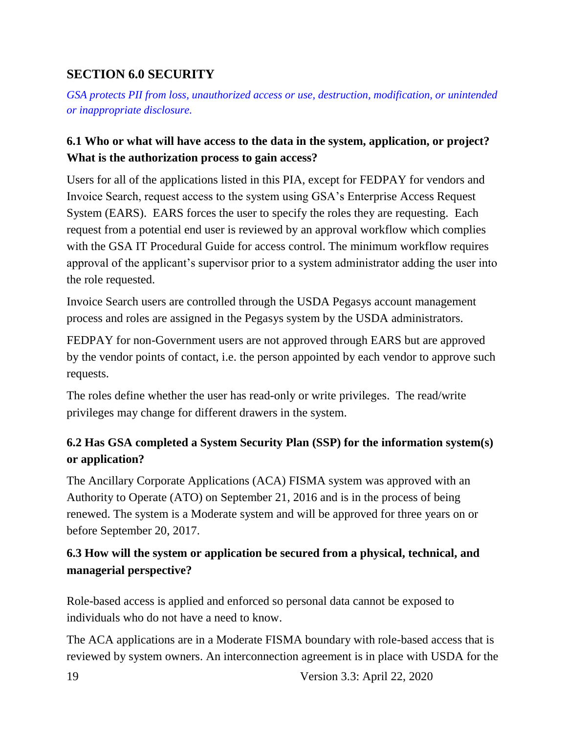### **SECTION 6.0 SECURITY**

*GSA protects PII from loss, unauthorized access or use, destruction, modification, or unintended or inappropriate disclosure.*

#### **6.1 Who or what will have access to the data in the system, application, or project? What is the authorization process to gain access?**

Users for all of the applications listed in this PIA, except for FEDPAY for vendors and Invoice Search, request access to the system using GSA's Enterprise Access Request System (EARS). EARS forces the user to specify the roles they are requesting. Each request from a potential end user is reviewed by an approval workflow which complies with the GSA IT Procedural Guide for access control. The minimum workflow requires approval of the applicant's supervisor prior to a system administrator adding the user into the role requested.

Invoice Search users are controlled through the USDA Pegasys account management process and roles are assigned in the Pegasys system by the USDA administrators.

FEDPAY for non-Government users are not approved through EARS but are approved by the vendor points of contact, i.e. the person appointed by each vendor to approve such requests.

The roles define whether the user has read-only or write privileges. The read/write privileges may change for different drawers in the system.

#### **6.2 Has GSA completed a System Security Plan (SSP) for the information system(s) or application?**

The Ancillary Corporate Applications (ACA) FISMA system was approved with an Authority to Operate (ATO) on September 21, 2016 and is in the process of being renewed. The system is a Moderate system and will be approved for three years on or before September 20, 2017.

#### **6.3 How will the system or application be secured from a physical, technical, and managerial perspective?**

Role-based access is applied and enforced so personal data cannot be exposed to individuals who do not have a need to know.

The ACA applications are in a Moderate FISMA boundary with role-based access that is reviewed by system owners. An interconnection agreement is in place with USDA for the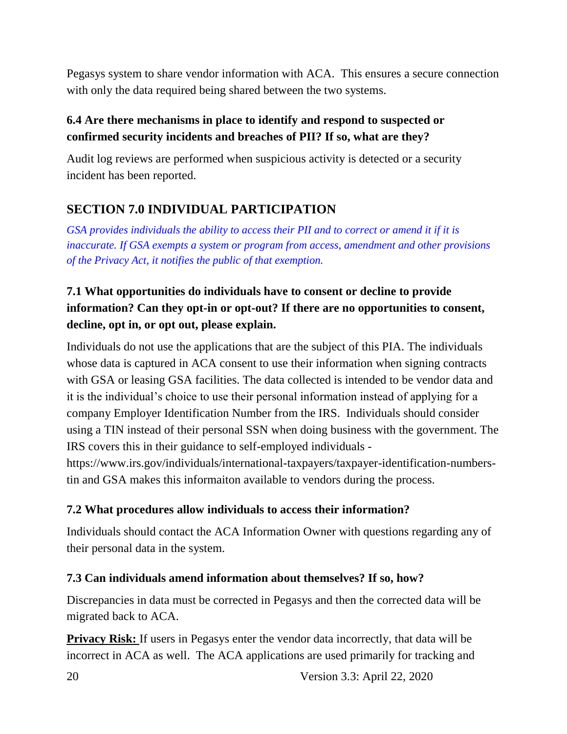Pegasys system to share vendor information with ACA. This ensures a secure connection with only the data required being shared between the two systems.

#### **6.4 Are there mechanisms in place to identify and respond to suspected or confirmed security incidents and breaches of PII? If so, what are they?**

Audit log reviews are performed when suspicious activity is detected or a security incident has been reported.

### **SECTION 7.0 INDIVIDUAL PARTICIPATION**

*GSA provides individuals the ability to access their PII and to correct or amend it if it is inaccurate. If GSA exempts a system or program from access, amendment and other provisions of the Privacy Act, it notifies the public of that exemption.*

### **7.1 What opportunities do individuals have to consent or decline to provide information? Can they opt-in or opt-out? If there are no opportunities to consent, decline, opt in, or opt out, please explain.**

Individuals do not use the applications that are the subject of this PIA. The individuals whose data is captured in ACA consent to use their information when signing contracts with GSA or leasing GSA facilities. The data collected is intended to be vendor data and it is the individual's choice to use their personal information instead of applying for a company Employer Identification Number from the IRS. Individuals should consider using a TIN instead of their personal SSN when doing business with the government. The IRS covers this in their guidance to self-employed individuals -

https://www.irs.gov/individuals/international-taxpayers/taxpayer-identification-numberstin and GSA makes this informaiton available to vendors during the process.

#### **7.2 What procedures allow individuals to access their information?**

Individuals should contact the ACA Information Owner with questions regarding any of their personal data in the system.

#### **7.3 Can individuals amend information about themselves? If so, how?**

Discrepancies in data must be corrected in Pegasys and then the corrected data will be migrated back to ACA.

**Privacy Risk:** If users in Pegasys enter the vendor data incorrectly, that data will be incorrect in ACA as well. The ACA applications are used primarily for tracking and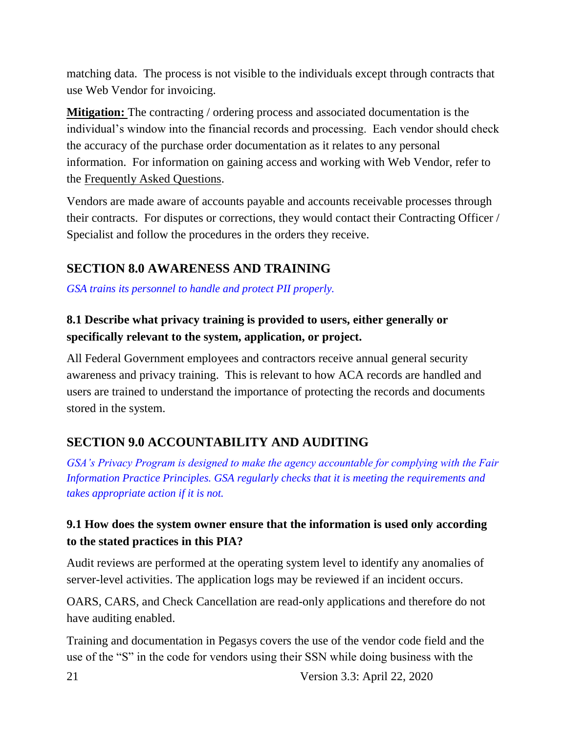matching data. The process is not visible to the individuals except through contracts that use Web Vendor for invoicing.

**Mitigation:** The contracting / ordering process and associated documentation is the individual's window into the financial records and processing. Each vendor should check the accuracy of the purchase order documentation as it relates to any personal information. For information on gaining access and working with Web Vendor, refer to the [Frequently Asked Questions.](https://finance.ocfo.gsa.gov/WebVendors/Docs/WebVendorFAQ.pdf)

Vendors are made aware of accounts payable and accounts receivable processes through their contracts. For disputes or corrections, they would contact their Contracting Officer / Specialist and follow the procedures in the orders they receive.

### **SECTION 8.0 AWARENESS AND TRAINING**

*GSA trains its personnel to handle and protect PII properly.*

### **8.1 Describe what privacy training is provided to users, either generally or specifically relevant to the system, application, or project.**

All Federal Government employees and contractors receive annual general security awareness and privacy training. This is relevant to how ACA records are handled and users are trained to understand the importance of protecting the records and documents stored in the system.

## **SECTION 9.0 ACCOUNTABILITY AND AUDITING**

*GSA's Privacy Program is designed to make the agency accountable for complying with the Fair Information Practice Principles. GSA regularly checks that it is meeting the requirements and takes appropriate action if it is not.*

#### **9.1 How does the system owner ensure that the information is used only according to the stated practices in this PIA?**

Audit reviews are performed at the operating system level to identify any anomalies of server-level activities. The application logs may be reviewed if an incident occurs.

OARS, CARS, and Check Cancellation are read-only applications and therefore do not have auditing enabled.

Training and documentation in Pegasys covers the use of the vendor code field and the use of the "S" in the code for vendors using their SSN while doing business with the